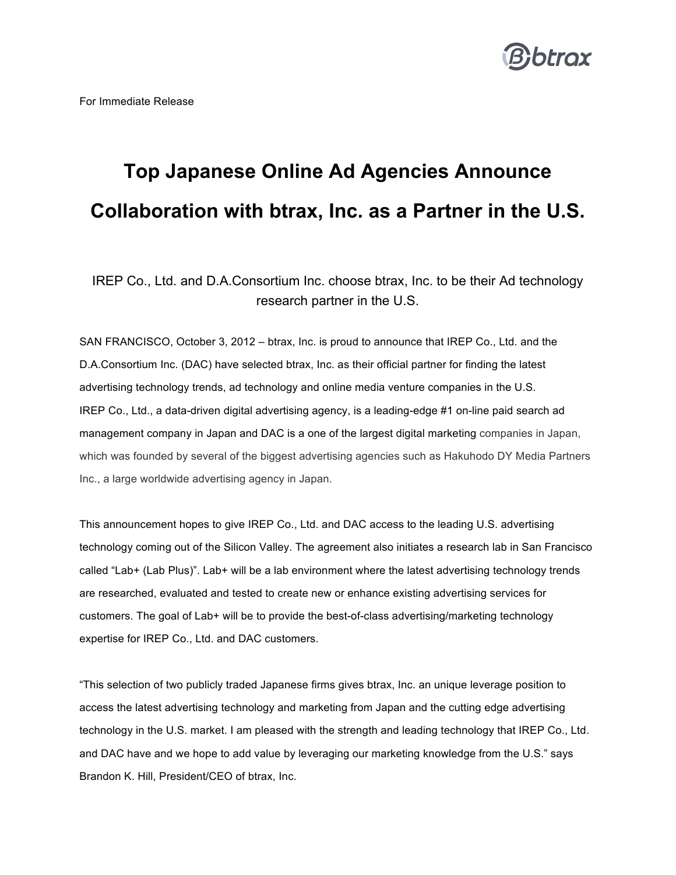

## **Top Japanese Online Ad Agencies Announce Collaboration with btrax, Inc. as a Partner in the U.S.**

IREP Co., Ltd. and D.A.Consortium Inc. choose btrax, Inc. to be their Ad technology research partner in the U.S.

SAN FRANCISCO, October 3, 2012 – btrax, Inc. is proud to announce that IREP Co., Ltd. and the D.A.Consortium Inc. (DAC) have selected btrax, Inc. as their official partner for finding the latest advertising technology trends, ad technology and online media venture companies in the U.S. IREP Co., Ltd., a data-driven digital advertising agency, is a leading-edge #1 on-line paid search ad management company in Japan and DAC is a one of the largest digital marketing companies in Japan, which was founded by several of the biggest advertising agencies such as Hakuhodo DY Media Partners Inc., a large worldwide advertising agency in Japan.

This announcement hopes to give IREP Co., Ltd. and DAC access to the leading U.S. advertising technology coming out of the Silicon Valley. The agreement also initiates a research lab in San Francisco called "Lab+ (Lab Plus)". Lab+ will be a lab environment where the latest advertising technology trends are researched, evaluated and tested to create new or enhance existing advertising services for customers. The goal of Lab+ will be to provide the best-of-class advertising/marketing technology expertise for IREP Co., Ltd. and DAC customers.

"This selection of two publicly traded Japanese firms gives btrax, Inc. an unique leverage position to access the latest advertising technology and marketing from Japan and the cutting edge advertising technology in the U.S. market. I am pleased with the strength and leading technology that IREP Co., Ltd. and DAC have and we hope to add value by leveraging our marketing knowledge from the U.S." says Brandon K. Hill, President/CEO of btrax, Inc.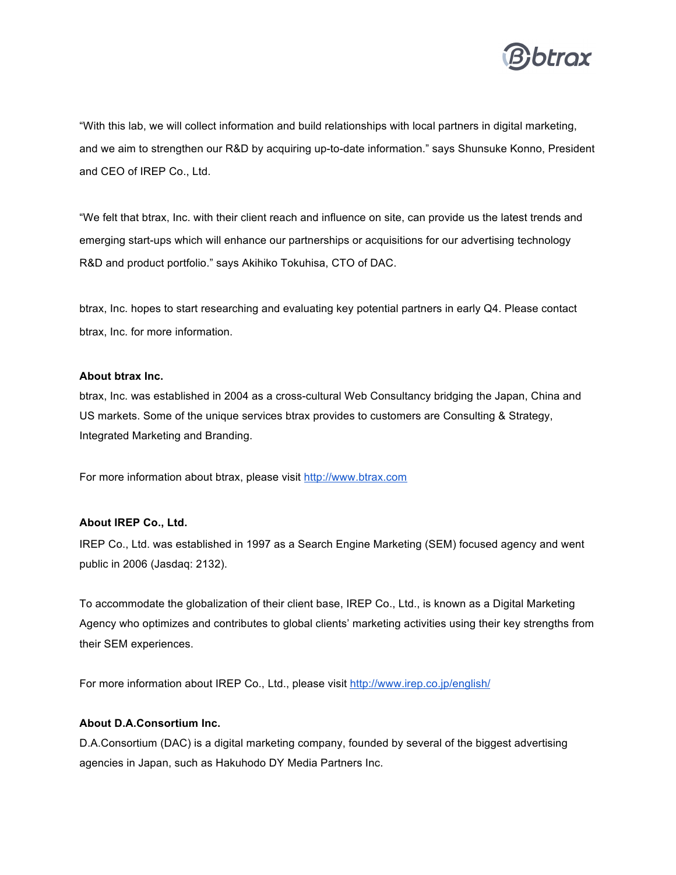

"With this lab, we will collect information and build relationships with local partners in digital marketing, and we aim to strengthen our R&D by acquiring up-to-date information." says Shunsuke Konno, President and CEO of IREP Co., Ltd.

"We felt that btrax, Inc. with their client reach and influence on site, can provide us the latest trends and emerging start-ups which will enhance our partnerships or acquisitions for our advertising technology R&D and product portfolio." says Akihiko Tokuhisa, CTO of DAC.

btrax, Inc. hopes to start researching and evaluating key potential partners in early Q4. Please contact btrax, Inc. for more information.

## **About btrax Inc.**

btrax, Inc. was established in 2004 as a cross-cultural Web Consultancy bridging the Japan, China and US markets. Some of the unique services btrax provides to customers are Consulting & Strategy, Integrated Marketing and Branding.

For more information about btrax, please visit http://www.btrax.com

## **About IREP Co., Ltd.**

IREP Co., Ltd. was established in 1997 as a Search Engine Marketing (SEM) focused agency and went public in 2006 (Jasdaq: 2132).

To accommodate the globalization of their client base, IREP Co., Ltd., is known as a Digital Marketing Agency who optimizes and contributes to global clients' marketing activities using their key strengths from their SEM experiences.

For more information about IREP Co., Ltd., please visit http://www.irep.co.jp/english/

## **About D.A.Consortium Inc.**

D.A.Consortium (DAC) is a digital marketing company, founded by several of the biggest advertising agencies in Japan, such as Hakuhodo DY Media Partners Inc.